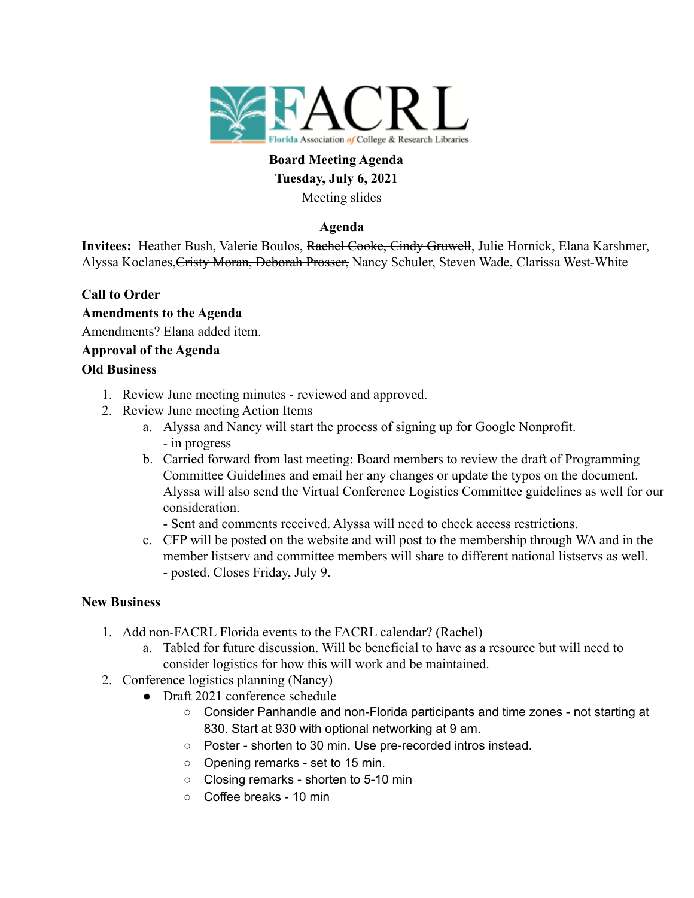

# **Board Meeting Agenda Tuesday, July 6, 2021** Meeting slides

## **Agenda**

**Invitees:** Heather Bush, Valerie Boulos, Rachel Cooke, Cindy Gruwell, Julie Hornick, Elana Karshmer, Alyssa Koclanes, Cristy Moran, Deborah Prosser, Nancy Schuler, Steven Wade, Clarissa West-White

# **Call to Order**

**Amendments to the Agenda** Amendments? Elana added item. **Approval of the Agenda Old Business**

### 1. Review June meeting minutes - reviewed and approved.

- 2. Review June meeting Action Items
	- a. Alyssa and Nancy will start the process of signing up for Google Nonprofit. - in progress
	- b. Carried forward from last meeting: Board members to review the draft of Programming Committee Guidelines and email her any changes or update the typos on the document. Alyssa will also send the Virtual Conference Logistics Committee guidelines as well for our consideration.

- Sent and comments received. Alyssa will need to check access restrictions.

c. CFP will be posted on the website and will post to the membership through WA and in the member listserv and committee members will share to different national listservs as well. - posted. Closes Friday, July 9.

### **New Business**

- 1. Add non-FACRL Florida events to the FACRL calendar? (Rachel)
	- a. Tabled for future discussion. Will be beneficial to have as a resource but will need to consider logistics for how this will work and be maintained.
- 2. Conference logistics planning (Nancy)
	- Draft 2021 conference schedule
		- Consider Panhandle and non-Florida participants and time zones not starting at 830. Start at 930 with optional networking at 9 am.
		- Poster shorten to 30 min. Use pre-recorded intros instead.
		- Opening remarks set to 15 min.
		- Closing remarks shorten to 5-10 min
		- Coffee breaks 10 min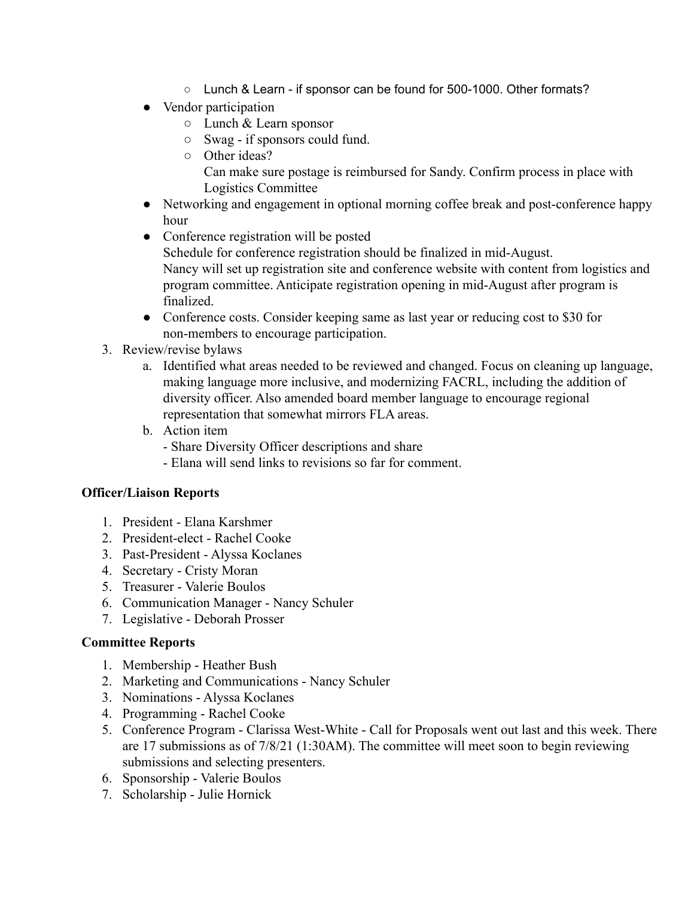- Lunch & Learn if sponsor can be found for 500-1000. Other formats?
- Vendor participation
	- Lunch & Learn sponsor
	- Swag if sponsors could fund.
	- Other ideas?

Can make sure postage is reimbursed for Sandy. Confirm process in place with Logistics Committee

- Networking and engagement in optional morning coffee break and post-conference happy hour
- Conference registration will be posted Schedule for conference registration should be finalized in mid-August. Nancy will set up registration site and conference website with content from logistics and program committee. Anticipate registration opening in mid-August after program is finalized.
- Conference costs. Consider keeping same as last year or reducing cost to \$30 for non-members to encourage participation.
- 3. Review/revise bylaws
	- a. Identified what areas needed to be reviewed and changed. Focus on cleaning up language, making language more inclusive, and modernizing FACRL, including the addition of diversity officer. Also amended board member language to encourage regional representation that somewhat mirrors FLA areas.
	- b. Action item
		- Share Diversity Officer descriptions and share
		- Elana will send links to revisions so far for comment.

### **Officer/Liaison Reports**

- 1. President Elana Karshmer
- 2. President-elect Rachel Cooke
- 3. Past-President Alyssa Koclanes
- 4. Secretary Cristy Moran
- 5. Treasurer Valerie Boulos
- 6. Communication Manager Nancy Schuler
- 7. Legislative Deborah Prosser

### **Committee Reports**

- 1. Membership Heather Bush
- 2. Marketing and Communications Nancy Schuler
- 3. Nominations Alyssa Koclanes
- 4. Programming Rachel Cooke
- 5. Conference Program Clarissa West-White Call for Proposals went out last and this week. There are 17 submissions as of 7/8/21 (1:30AM). The committee will meet soon to begin reviewing submissions and selecting presenters.
- 6. Sponsorship Valerie Boulos
- 7. Scholarship Julie Hornick